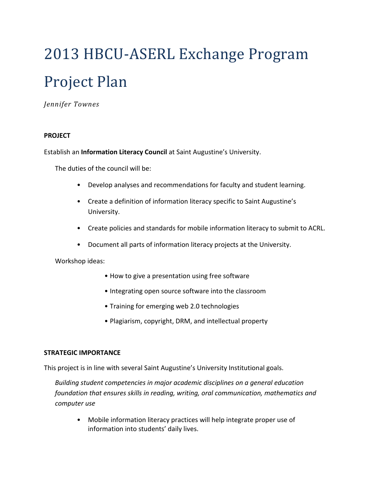# 2013 HBCU-ASERL Exchange Program Project Plan

*Jennifer Townes*

### **PROJECT**

Establish an **Information Literacy Council** at Saint Augustine's University.

The duties of the council will be:

- Develop analyses and recommendations for faculty and student learning.
- Create a definition of information literacy specific to Saint Augustine's University.
- Create policies and standards for mobile information literacy to submit to ACRL.
- Document all parts of information literacy projects at the University.

Workshop ideas:

- How to give a presentation using free software
- Integrating open source software into the classroom
- Training for emerging web 2.0 technologies
- Plagiarism, copyright, DRM, and intellectual property

#### **STRATEGIC IMPORTANCE**

This project is in line with several Saint Augustine's University Institutional goals.

*Building student competencies in major academic disciplines on a general education foundation that ensures skills in reading, writing, oral communication, mathematics and computer use*

• Mobile information literacy practices will help integrate proper use of information into students' daily lives.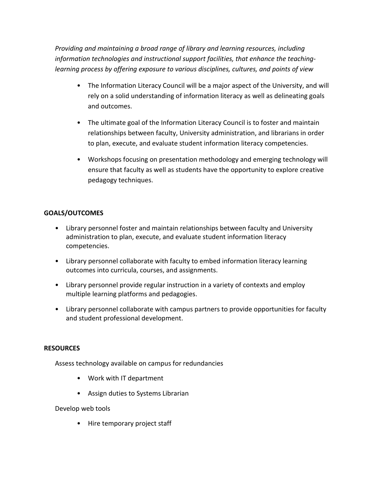*Providing and maintaining a broad range of library and learning resources, including information technologies and instructional support facilities, that enhance the teachinglearning process by offering exposure to various disciplines, cultures, and points of view*

- The Information Literacy Council will be a major aspect of the University, and will rely on a solid understanding of information literacy as well as delineating goals and outcomes.
- The ultimate goal of the Information Literacy Council is to foster and maintain relationships between faculty, University administration, and librarians in order to plan, execute, and evaluate student information literacy competencies.
- Workshops focusing on presentation methodology and emerging technology will ensure that faculty as well as students have the opportunity to explore creative pedagogy techniques.

# **GOALS/OUTCOMES**

- Library personnel foster and maintain relationships between faculty and University administration to plan, execute, and evaluate student information literacy competencies.
- Library personnel collaborate with faculty to embed information literacy learning outcomes into curricula, courses, and assignments.
- Library personnel provide regular instruction in a variety of contexts and employ multiple learning platforms and pedagogies.
- Library personnel collaborate with campus partners to provide opportunities for faculty and student professional development.

## **RESOURCES**

Assess technology available on campus for redundancies

- Work with IT department
- Assign duties to Systems Librarian

Develop web tools

• Hire temporary project staff